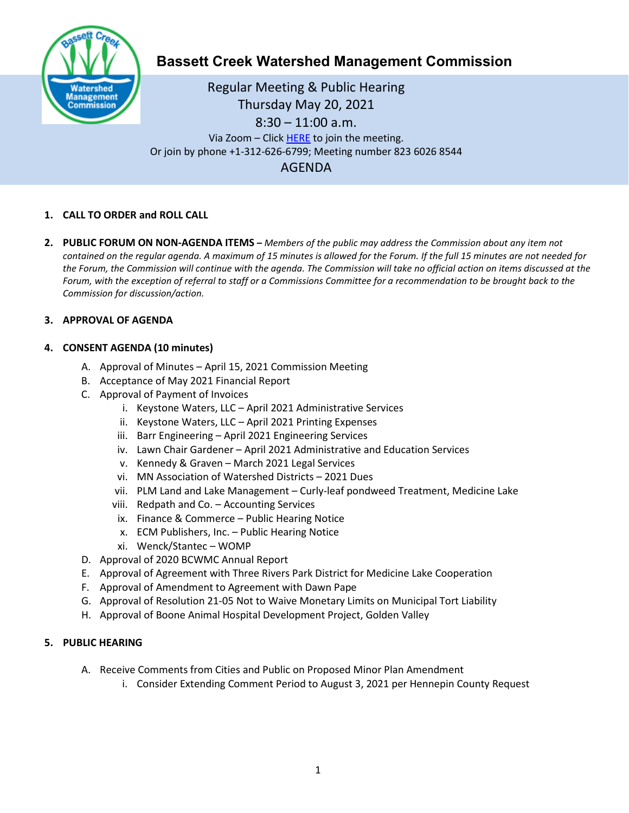

# **Bassett Creek Watershed Management Commission**

Regular Meeting & Public Hearing Thursday May 20, 2021 8:30 – 11:00 a.m. Via Zoom – Clic[k HERE](https://us02web.zoom.us/j/81955374062) to join the meeting. Or join by phone +1-312-626-6799; Meeting number 823 6026 8544 AGENDA

## **1. CALL TO ORDER and ROLL CALL**

**2. PUBLIC FORUM ON NON-AGENDA ITEMS –** *Members of the public may address the Commission about any item not contained on the regular agenda. A maximum of 15 minutes is allowed for the Forum. If the full 15 minutes are not needed for the Forum, the Commission will continue with the agenda. The Commission will take no official action on items discussed at the Forum, with the exception of referral to staff or a Commissions Committee for a recommendation to be brought back to the Commission for discussion/action.*

## **3. APPROVAL OF AGENDA**

## **4. CONSENT AGENDA (10 minutes)**

- A. Approval of Minutes April 15, 2021 Commission Meeting
- B. Acceptance of May 2021 Financial Report
- C. Approval of Payment of Invoices
	- i. Keystone Waters, LLC April 2021 Administrative Services
	- ii. Keystone Waters, LLC April 2021 Printing Expenses
	- iii. Barr Engineering April 2021 Engineering Services
	- iv. Lawn Chair Gardener April 2021 Administrative and Education Services
	- v. Kennedy & Graven March 2021 Legal Services
	- vi. MN Association of Watershed Districts 2021 Dues
	- vii. PLM Land and Lake Management Curly-leaf pondweed Treatment, Medicine Lake
	- viii. Redpath and Co. Accounting Services
	- ix. Finance & Commerce Public Hearing Notice
	- x. ECM Publishers, Inc. Public Hearing Notice
	- xi. Wenck/Stantec WOMP
- D. Approval of 2020 BCWMC Annual Report
- E. Approval of Agreement with Three Rivers Park District for Medicine Lake Cooperation
- F. Approval of Amendment to Agreement with Dawn Pape
- G. Approval of Resolution 21-05 Not to Waive Monetary Limits on Municipal Tort Liability
- H. Approval of Boone Animal Hospital Development Project, Golden Valley

#### **5. PUBLIC HEARING**

- A. Receive Comments from Cities and Public on Proposed Minor Plan Amendment
	- i. Consider Extending Comment Period to August 3, 2021 per Hennepin County Request